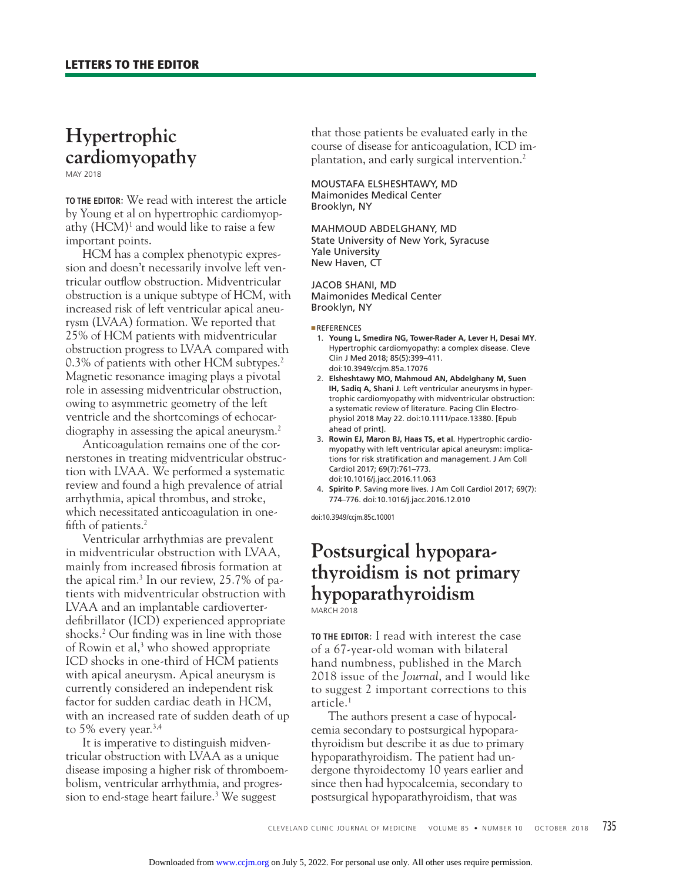## **Hypertrophic cardiomyopathy**

MAY 2018

**TO THE EDITOR**: We read with interest the article by Young et al on hypertrophic cardiomyopathy (HCM)1 and would like to raise a few important points.

HCM has a complex phenotypic expression and doesn't necessarily involve left ventricular outflow obstruction. Midventricular obstruction is a unique subtype of HCM, with increased risk of left ventricular apical aneurysm (LVAA) formation. We reported that 25% of HCM patients with midventricular obstruction progress to LVAA compared with 0.3% of patients with other HCM subtypes.<sup>2</sup> Magnetic resonance imaging plays a pivotal role in assessing midventricular obstruction, owing to asymmetric geometry of the left ventricle and the shortcomings of echocardiography in assessing the apical aneurysm.<sup>2</sup>

Anticoagulation remains one of the cornerstones in treating midventricular obstruction with LVAA. We performed a systematic review and found a high prevalence of atrial arrhythmia, apical thrombus, and stroke, which necessitated anticoagulation in onefifth of patients. $2$ 

Ventricular arrhythmias are prevalent in midventricular obstruction with LVAA, mainly from increased fibrosis formation at the apical rim.3 In our review, 25.7% of patients with midventricular obstruction with LVAA and an implantable cardioverterdefibrillator (ICD) experienced appropriate shocks.<sup>2</sup> Our finding was in line with those of Rowin et al,<sup>3</sup> who showed appropriate ICD shocks in one-third of HCM patients with apical aneurysm. Apical aneurysm is currently considered an independent risk factor for sudden cardiac death in HCM, with an increased rate of sudden death of up to 5% every year.<sup>3,4</sup>

It is imperative to distinguish midventricular obstruction with LVAA as a unique disease imposing a higher risk of thromboembolism, ventricular arrhythmia, and progression to end-stage heart failure.3 We suggest

that those patients be evaluated early in the course of disease for anticoagulation, ICD implantation, and early surgical intervention.<sup>2</sup>

MOUSTAFA ELSHESHTAWY, MD Maimonides Medical Center Brooklyn, NY

MAHMOUD ABDELGHANY, MD State University of New York, Syracuse Yale University New Haven, CT

JACOB SHANI, MD Maimonides Medical Center Brooklyn, NY

■**REFERENCES** 

- 1. **Young L, Smedira NG, Tower-Rader A, Lever H, Desai MY**. Hypertrophic cardiomyopathy: a complex disease. Cleve Clin J Med 2018; 85(5):399–411. doi:10.3949/ccjm.85a.17076
- 2. **Elsheshtawy MO, Mahmoud AN, Abdelghany M, Suen IH, Sadiq A, Shani J**. Left ventricular aneurysms in hypertrophic cardiomyopathy with midventricular obstruction: a systematic review of literature. Pacing Clin Electrophysiol 2018 May 22. doi:10.1111/pace.13380. [Epub ahead of print].
- 3. **Rowin EJ, Maron BJ, Haas TS, et al**. Hypertrophic cardiomyopathy with left ventricular apical aneurysm: implications for risk stratification and management. J Am Coll Cardiol 2017; 69(7):761–773. doi:10.1016/j.jacc.2016.11.063
- 4. **Spirito P**. Saving more lives. J Am Coll Cardiol 2017; 69(7): 774–776. doi:10.1016/j.jacc.2016.12.010

doi:10.3949/ccjm.85c.10001

# **Postsurgical hypoparathyroidism is not primary hypoparathyroidism**

MARCH 2018

**TO THE EDITOR**: I read with interest the case of a 67-year-old woman with bilateral hand numbness, published in the March 2018 issue of the *Journal*, and I would like to suggest 2 important corrections to this article.1

The authors present a case of hypocalcemia secondary to postsurgical hypoparathyroidism but describe it as due to primary hypoparathyroidism. The patient had undergone thyroidectomy 10 years earlier and since then had hypocalcemia, secondary to postsurgical hypoparathyroidism, that was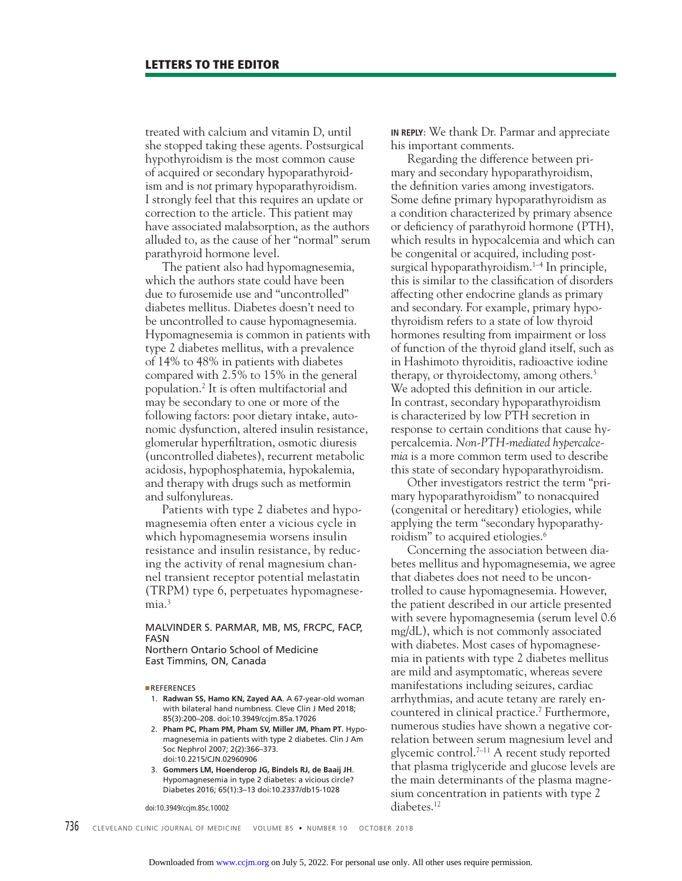treated with calcium and vitamin D, until she stopped taking these agents. Postsurgical hypothyroidism is the most common cause of acquired or secondary hypoparathyroidism and is *not* primary hypoparathyroidism. I strongly feel that this requires an update or correction to the article. This patient may have associated malabsorption, as the authors alluded to, as the cause of her "normal" serum parathyroid hormone level.

The patient also had hypomagnesemia, which the authors state could have been due to furosemide use and "uncontrolled" diabetes mellitus. Diabetes doesn't need to be uncontrolled to cause hypomagnesemia. Hypomagnesemia is common in patients with type 2 diabetes mellitus, with a prevalence of 14% to 48% in patients with diabetes compared with 2.5% to 15% in the general population.2 It is often multifactorial and may be secondary to one or more of the following factors: poor dietary intake, autonomic dysfunction, altered insulin resistance, glomerular hyperfiltration, osmotic diuresis (uncontrolled diabetes), recurrent metabolic acidosis, hypophosphatemia, hypokalemia, and therapy with drugs such as metformin and sulfonylureas.

Patients with type 2 diabetes and hypomagnesemia often enter a vicious cycle in which hypomagnesemia worsens insulin resistance and insulin resistance, by reducing the activity of renal magnesium channel transient receptor potential melastatin (TRPM) type 6, perpetuates hypomagnesemia.<sup>3</sup>

#### MALVINDER S. PARMAR, MB, MS, FRCPC, FACP, FASN Northern Ontario School of Medicine

East Timmins, ON, Canada

■REFERENCES

- 1. **Radwan SS, Hamo KN, Zayed AA**. A 67-year-old woman with bilateral hand numbness. Cleve Clin J Med 2018; 85(3):200–208. doi:10.3949/ccjm.85a.17026
- 2. **Pham PC, Pham PM, Pham SV, Miller JM, Pham PT**. Hypomagnesemia in patients with type 2 diabetes. Clin J Am Soc Nephrol 2007; 2(2):366–373. doi:10.2215/CJN.02960906
- 3. **Gommers LM, Hoenderop JG, Bindels RJ, de Baaij JH**. Hypomagnesemia in type 2 diabetes: a vicious circle? Diabetes 2016; 65(1):3–13 doi:10.2337/db15-1028

736 CLEVELAND CLINIC JOURNAL OF MEDICINE VOLUME 85 · NUMBER 10 OCTOBER 2018

doi:10.3949/ccjm.85c.10002

**IN REPLY**: We thank Dr. Parmar and appreciate his important comments.

Regarding the difference between primary and secondary hypoparathyroidism, the definition varies among investigators. Some define primary hypoparathyroidism as a condition characterized by primary absence or deficiency of parathyroid hormone (PTH), which results in hypocalcemia and which can be congenital or acquired, including postsurgical hypoparathyroidism. $1-4$  In principle, this is similar to the classification of disorders affecting other endocrine glands as primary and secondary. For example, primary hypothyroidism refers to a state of low thyroid hormones resulting from impairment or loss of function of the thyroid gland itself, such as in Hashimoto thyroiditis, radioactive iodine therapy, or thyroidectomy, among others.5 We adopted this definition in our article. In contrast, secondary hypoparathyroidism is characterized by low PTH secretion in response to certain conditions that cause hypercalcemia. *Non-PTH-mediated hypercalcemia* is a more common term used to describe this state of secondary hypoparathyroidism.

Other investigators restrict the term "primary hypoparathyroidism" to nonacquired (congenital or hereditary) etiologies, while applying the term "secondary hypoparathyroidism" to acquired etiologies.<sup>6</sup>

Concerning the association between diabetes mellitus and hypomagnesemia, we agree that diabetes does not need to be uncontrolled to cause hypomagnesemia. However, the patient described in our article presented with severe hypomagnesemia (serum level 0.6 mg/dL), which is not commonly associated with diabetes. Most cases of hypomagnesemia in patients with type 2 diabetes mellitus are mild and asymptomatic, whereas severe manifestations including seizures, cardiac arrhythmias, and acute tetany are rarely encountered in clinical practice.7 Furthermore, numerous studies have shown a negative correlation between serum magnesium level and glycemic control.7–11 A recent study reported that plasma triglyceride and glucose levels are the main determinants of the plasma magnesium concentration in patients with type 2 diabetes.<sup>12</sup>